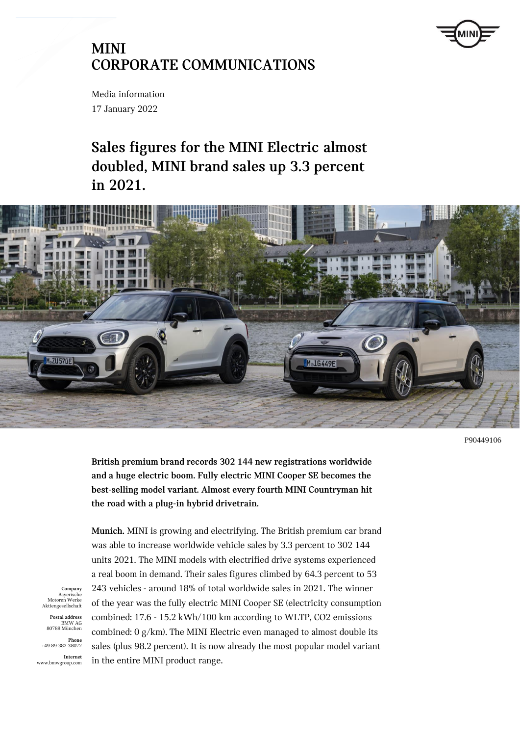

Media information 17 January 2022

# **Sales figures for the MINI Electric almost doubled, MINI brand sales up 3.3 percent in 2021.**



P90449106

**British premium brand records 302 144 new registrations worldwide and a huge electric boom. Fully electric MINI Cooper SE becomes the best-selling model variant. Almost every fourth MINI Countryman hit the road with a plug-in hybrid drivetrain.**

**Munich.** MINI is growing and electrifying. The British premium car brand was able to increase worldwide vehicle sales by 3.3 percent to 302 144 units 2021. The MINI models with electrified drive systems experienced a real boom in demand. Their sales figures climbed by 64.3 percent to 53 243 vehicles - around 18% of total worldwide sales in 2021. The winner of the year was the fully electric MINI Cooper SE (electricity consumption combined: 17.6 - 15.2 kWh/100 km according to WLTP, CO2 emissions combined: 0 g/km). The MINI Electric even managed to almost double its sales (plus 98.2 percent). It is now already the most popular model variant in the entire MINI product range.

**Company** Bayerisch Motoren Werke Aktiengesellschaft

**Postal address** BMW AG 80788 München

**Phone** +49-89-382-38072

**Internet** www.bmwgroup.com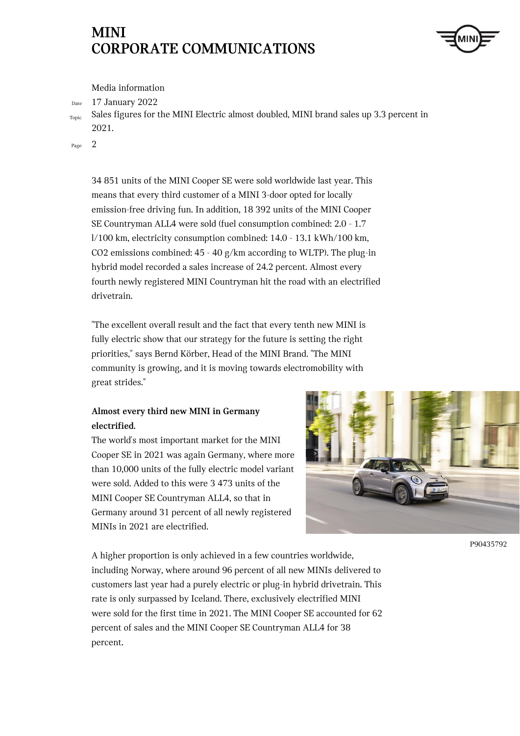

Media information

Date 17 January 2022

Topic Sales figures for the MINI Electric almost doubled, MINI brand sales up 3.3 percent in 2021.

Page 2

34 851 units of the MINI Cooper SE were sold worldwide last year. This means that every third customer of a MINI 3-door opted for locally emission-free driving fun. In addition, 18 392 units of the MINI Cooper SE Countryman ALL4 were sold (fuel consumption combined: 2.0 - 1.7 l/100 km, electricity consumption combined: 14.0 - 13.1 kWh/100 km, CO2 emissions combined: 45 - 40 g/km according to WLTP). The plug-in hybrid model recorded a sales increase of 24.2 percent. Almost every fourth newly registered MINI Countryman hit the road with an electrified drivetrain.

"The excellent overall result and the fact that every tenth new MINI is fully electric show that our strategy for the future is setting the right priorities," says Bernd Körber, Head of the MINI Brand. "The MINI community is growing, and it is moving towards electromobility with great strides."

### **Almost every third new MINI in Germany electrified.**

The world's most important market for the MINI Cooper SE in 2021 was again Germany, where more than 10,000 units of the fully electric model variant were sold. Added to this were 3 473 units of the MINI Cooper SE Countryman ALL4, so that in Germany around 31 percent of all newly registered MINIs in 2021 are electrified.



P90435792

A higher proportion is only achieved in a few countries worldwide, including Norway, where around 96 percent of all new MINIs delivered to customers last year had a purely electric or plug-in hybrid drivetrain. This rate is only surpassed by Iceland. There, exclusively electrified MINI were sold for the first time in 2021. The MINI Cooper SE accounted for 62 percent of sales and the MINI Cooper SE Countryman ALL4 for 38 percent.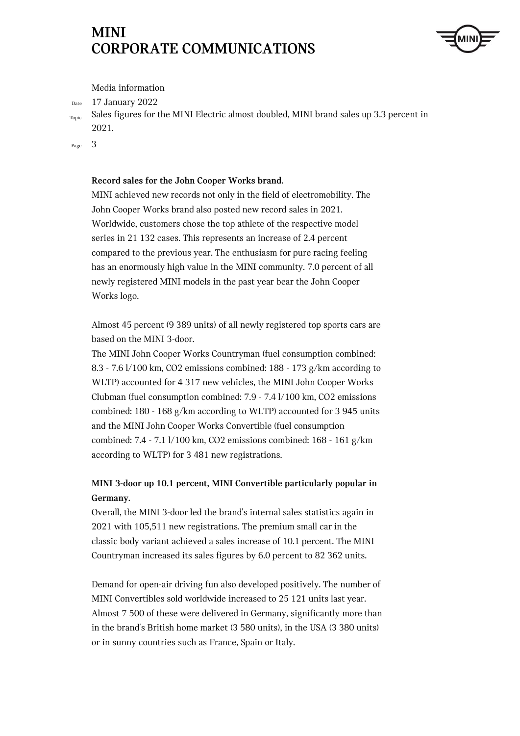

Media information

Date 17 January 2022

Topic Sales figures for the MINI Electric almost doubled, MINI brand sales up 3.3 percent in 2021.

Page 3

### **Record sales for the John Cooper Works brand.**

MINI achieved new records not only in the field of electromobility. The John Cooper Works brand also posted new record sales in 2021. Worldwide, customers chose the top athlete of the respective model series in 21 132 cases. This represents an increase of 2.4 percent compared to the previous year. The enthusiasm for pure racing feeling has an enormously high value in the MINI community. 7.0 percent of all newly registered MINI models in the past year bear the John Cooper Works logo.

Almost 45 percent (9 389 units) of all newly registered top sports cars are based on the MINI 3-door.

The MINI John Cooper Works Countryman (fuel consumption combined: 8.3 - 7.6 l/100 km, CO2 emissions combined: 188 - 173 g/km according to WLTP) accounted for 4 317 new vehicles, the MINI John Cooper Works Clubman (fuel consumption combined: 7.9 - 7.4 l/100 km, CO2 emissions combined: 180 - 168 g/km according to WLTP) accounted for 3 945 units and the MINI John Cooper Works Convertible (fuel consumption combined: 7.4 - 7.1 l/100 km, CO2 emissions combined: 168 - 161 g/km according to WLTP) for 3 481 new registrations.

### **MINI 3-door up 10.1 percent, MINI Convertible particularly popular in Germany.**

Overall, the MINI 3-door led the brand's internal sales statistics again in 2021 with 105,511 new registrations. The premium small car in the classic body variant achieved a sales increase of 10.1 percent. The MINI Countryman increased its sales figures by 6.0 percent to 82 362 units.

Demand for open-air driving fun also developed positively. The number of MINI Convertibles sold worldwide increased to 25 121 units last year. Almost 7 500 of these were delivered in Germany, significantly more than in the brand's British home market (3 580 units), in the USA (3 380 units) or in sunny countries such as France, Spain or Italy.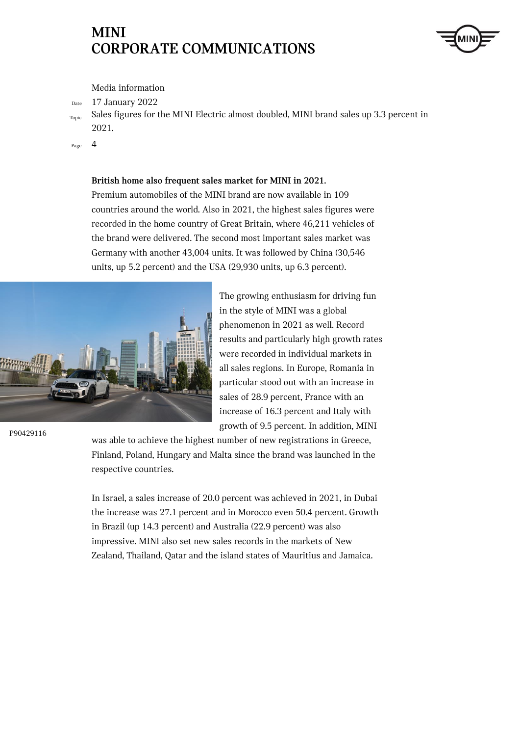

Media information

Date 17 January 2022

Topic Sales figures for the MINI Electric almost doubled, MINI brand sales up 3.3 percent in 2021.

Page 4

**British home also frequent sales market for MINI in 2021.**

Premium automobiles of the MINI brand are now available in 109 countries around the world. Also in 2021, the highest sales figures were recorded in the home country of Great Britain, where 46,211 vehicles of the brand were delivered. The second most important sales market was Germany with another 43,004 units. It was followed by China (30,546 units, up 5.2 percent) and the USA (29,930 units, up 6.3 percent).



P90429116

The growing enthusiasm for driving fun in the style of MINI was a global phenomenon in 2021 as well. Record results and particularly high growth rates were recorded in individual markets in all sales regions. In Europe, Romania in particular stood out with an increase in sales of 28.9 percent, France with an increase of 16.3 percent and Italy with growth of 9.5 percent. In addition, MINI

was able to achieve the highest number of new registrations in Greece, Finland, Poland, Hungary and Malta since the brand was launched in the respective countries.

In Israel, a sales increase of 20.0 percent was achieved in 2021, in Dubai the increase was 27.1 percent and in Morocco even 50.4 percent. Growth in Brazil (up 14.3 percent) and Australia (22.9 percent) was also impressive. MINI also set new sales records in the markets of New Zealand, Thailand, Qatar and the island states of Mauritius and Jamaica.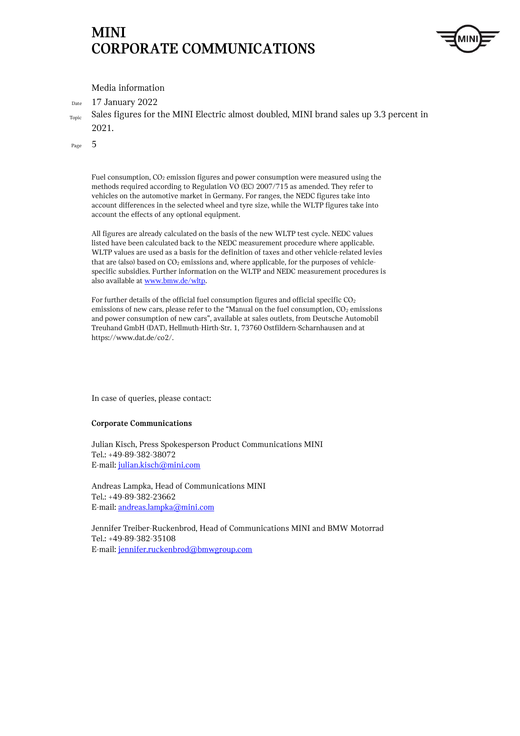

Media information

Date 17 January 2022

Topic Sales figures for the MINI Electric almost doubled, MINI brand sales up 3.3 percent in 2021.

Page 5

Fuel consumption, CO<sub>2</sub> emission figures and power consumption were measured using the methods required according to Regulation VO (EC) 2007/715 as amended. They refer to vehicles on the automotive market in Germany. For ranges, the NEDC figures take into account differences in the selected wheel and tyre size, while the WLTP figures take into account the effects of any optional equipment.

All figures are already calculated on the basis of the new WLTP test cycle. NEDC values listed have been calculated back to the NEDC measurement procedure where applicable. WLTP values are used as a basis for the definition of taxes and other vehicle-related levies that are (also) based on  $CO<sub>2</sub>$  emissions and, where applicable, for the purposes of vehiclespecific subsidies. Further information on the WLTP and NEDC measurement procedures is also available a[t www.bmw.de/wltp](http://www.bmw.de/wltp).

For further details of the official fuel consumption figures and official specific CO<sub>2</sub> emissions of new cars, please refer to the "Manual on the fuel consumption,  $CO<sub>2</sub>$  emissions and power consumption of new cars", available at sales outlets, from Deutsche Automobil Treuhand GmbH (DAT), Hellmuth-Hirth-Str. 1, 73760 Ostfildern-Scharnhausen and at https://www.dat.de/co2/.

In case of queries, please contact:

#### **Corporate Communications**

Julian Kisch, Press Spokesperson Product Communications MINI Tel.: +49-89-382-38072 E-mail[: julian.kisch@mini.com](mailto:julian.kisch@mini.com)

Andreas Lampka, Head of Communications MINI Tel.: +49-89-382-23662 E-mail[: andreas.lampka@mini.com](mailto:andreas.lampka@mini.com)

Jennifer Treiber-Ruckenbrod, Head of Communications MINI and BMW Motorrad Tel.: +49-89-382-35108 E-mail[: jennifer.ruckenbrod@bmwgroup.com](mailto:jennifer.ruckenbrod@bmwgroup.com)